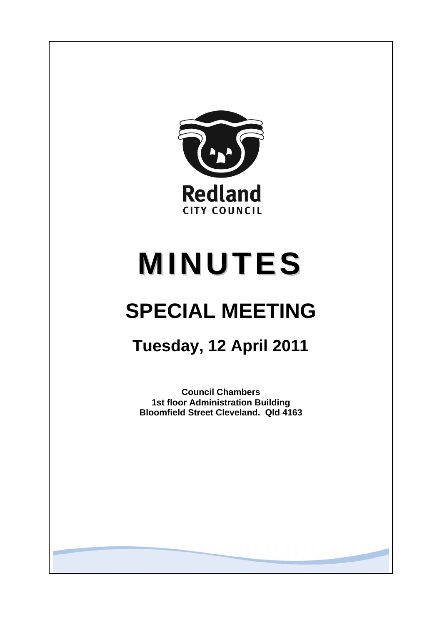

# **MINUTES**

## **SPECIAL MEETING**

**Tuesday, 12 April 2011** 

**Council Chambers 1st floor Administration Building Bloomfield Street Cleveland. Qld 4163**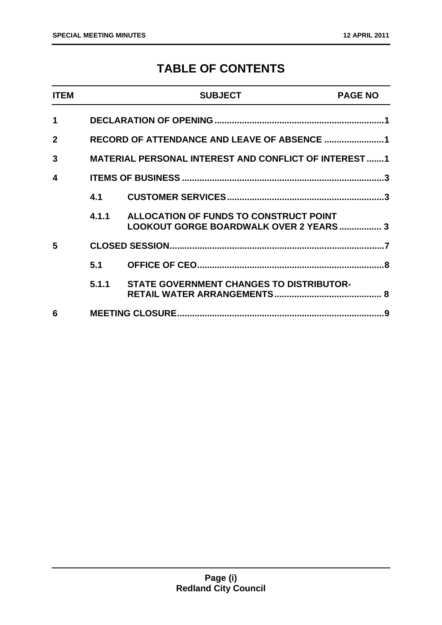### **TABLE OF CONTENTS**

| <b>ITEM</b>  |       | <b>SUBJECT</b>                                                                    | <b>PAGE NO</b> |
|--------------|-------|-----------------------------------------------------------------------------------|----------------|
| $\mathbf 1$  |       |                                                                                   |                |
| $\mathbf{2}$ |       |                                                                                   |                |
| 3            |       | <b>MATERIAL PERSONAL INTEREST AND CONFLICT OF INTEREST 1</b>                      |                |
| 4            |       |                                                                                   |                |
|              | 4.1   |                                                                                   |                |
|              | 4.1.1 | ALLOCATION OF FUNDS TO CONSTRUCT POINT<br>LOOKOUT GORGE BOARDWALK OVER 2 YEARS  3 |                |
| 5            |       |                                                                                   |                |
|              | 5.1   |                                                                                   |                |
|              | 5.1.1 | <b>STATE GOVERNMENT CHANGES TO DISTRIBUTOR-</b>                                   |                |
| 6            |       |                                                                                   |                |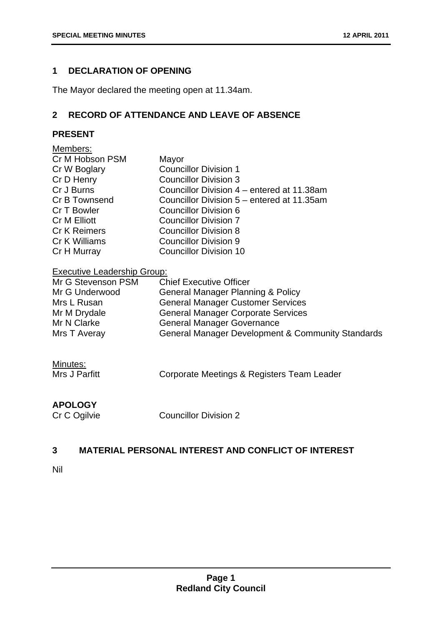#### <span id="page-2-0"></span>**1 DECLARATION OF OPENING**

The Mayor declared the meeting open at 11.34am.

#### **2 RECORD OF ATTENDANCE AND LEAVE OF ABSENCE**

#### **PRESENT**

| Members:            |                                            |
|---------------------|--------------------------------------------|
| Cr M Hobson PSM     | Mayor                                      |
| Cr W Boglary        | <b>Councillor Division 1</b>               |
| Cr D Henry          | <b>Councillor Division 3</b>               |
| Cr J Burns          | Councillor Division 4 – entered at 11.38am |
| Cr B Townsend       | Councillor Division 5 – entered at 11.35am |
| Cr T Bowler         | Councillor Division 6                      |
| <b>Cr M Elliott</b> | Councillor Division 7                      |
| <b>Cr K Reimers</b> | <b>Councillor Division 8</b>               |
| Cr K Williams       | <b>Councillor Division 9</b>               |
| Cr H Murray         | <b>Councillor Division 10</b>              |
|                     |                                            |

#### Executive Leadership Group:

| Mr G Stevenson PSM | <b>Chief Executive Officer</b>                    |
|--------------------|---------------------------------------------------|
| Mr G Underwood     | <b>General Manager Planning &amp; Policy</b>      |
| Mrs L Rusan        | <b>General Manager Customer Services</b>          |
| Mr M Drydale       | <b>General Manager Corporate Services</b>         |
| Mr N Clarke        | <b>General Manager Governance</b>                 |
| Mrs T Averay       | General Manager Development & Community Standards |

| Minutes:      |                                            |
|---------------|--------------------------------------------|
| Mrs J Parfitt | Corporate Meetings & Registers Team Leader |

#### **APOLOGY**

Cr C Ogilvie Councillor Division 2

#### **3 MATERIAL PERSONAL INTEREST AND CONFLICT OF INTEREST**

Nil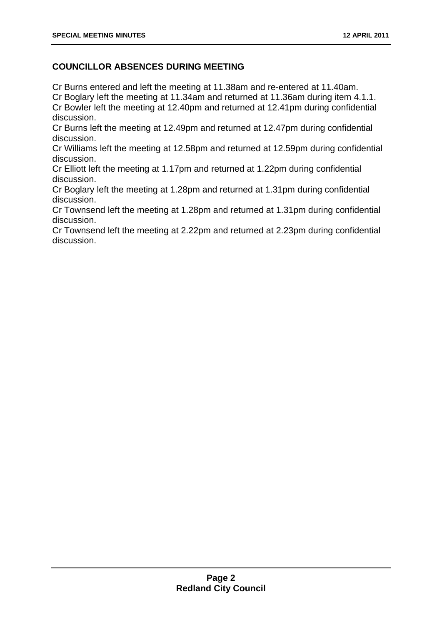#### **COUNCILLOR ABSENCES DURING MEETING**

Cr Burns entered and left the meeting at 11.38am and re-entered at 11.40am.

Cr Boglary left the meeting at 11.34am and returned at 11.36am during item 4.1.1. Cr Bowler left the meeting at 12.40pm and returned at 12.41pm during confidential discussion.

Cr Burns left the meeting at 12.49pm and returned at 12.47pm during confidential discussion.

Cr Williams left the meeting at 12.58pm and returned at 12.59pm during confidential discussion.

Cr Elliott left the meeting at 1.17pm and returned at 1.22pm during confidential discussion.

Cr Boglary left the meeting at 1.28pm and returned at 1.31pm during confidential discussion.

Cr Townsend left the meeting at 1.28pm and returned at 1.31pm during confidential discussion.

Cr Townsend left the meeting at 2.22pm and returned at 2.23pm during confidential discussion.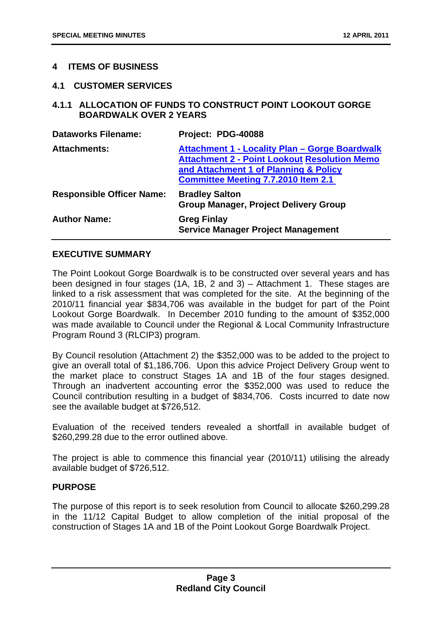#### <span id="page-4-0"></span>**4 ITEMS OF BUSINESS**

#### **4.1 CUSTOMER SERVICES**

#### **4.1.1 ALLOCATION OF FUNDS TO CONSTRUCT POINT LOOKOUT GORGE BOARDWALK OVER 2 YEARS**

| <b>Dataworks Filename:</b>       | Project: PDG-40088                                                                                                                                                                                  |
|----------------------------------|-----------------------------------------------------------------------------------------------------------------------------------------------------------------------------------------------------|
| <b>Attachments:</b>              | <b>Attachment 1 - Locality Plan - Gorge Boardwalk</b><br><b>Attachment 2 - Point Lookout Resolution Memo</b><br>and Attachment 1 of Planning & Policy<br><b>Committee Meeting 7.7.2010 Item 2.1</b> |
| <b>Responsible Officer Name:</b> | <b>Bradley Salton</b><br><b>Group Manager, Project Delivery Group</b>                                                                                                                               |
| <b>Author Name:</b>              | <b>Greg Finlay</b><br><b>Service Manager Project Management</b>                                                                                                                                     |

#### **EXECUTIVE SUMMARY**

The Point Lookout Gorge Boardwalk is to be constructed over several years and has been designed in four stages (1A, 1B, 2 and 3) – Attachment 1. These stages are linked to a risk assessment that was completed for the site. At the beginning of the 2010/11 financial year \$834,706 was available in the budget for part of the Point Lookout Gorge Boardwalk. In December 2010 funding to the amount of \$352,000 was made available to Council under the Regional & Local Community Infrastructure Program Round 3 (RLCIP3) program.

By Council resolution (Attachment 2) the \$352,000 was to be added to the project to give an overall total of \$1,186,706. Upon this advice Project Delivery Group went to the market place to construct Stages 1A and 1B of the four stages designed. Through an inadvertent accounting error the \$352,000 was used to reduce the Council contribution resulting in a budget of \$834,706. Costs incurred to date now see the available budget at \$726,512.

Evaluation of the received tenders revealed a shortfall in available budget of \$260,299.28 due to the error outlined above.

The project is able to commence this financial year (2010/11) utilising the already available budget of \$726,512.

#### **PURPOSE**

The purpose of this report is to seek resolution from Council to allocate \$260,299.28 in the 11/12 Capital Budget to allow completion of the initial proposal of the construction of Stages 1A and 1B of the Point Lookout Gorge Boardwalk Project.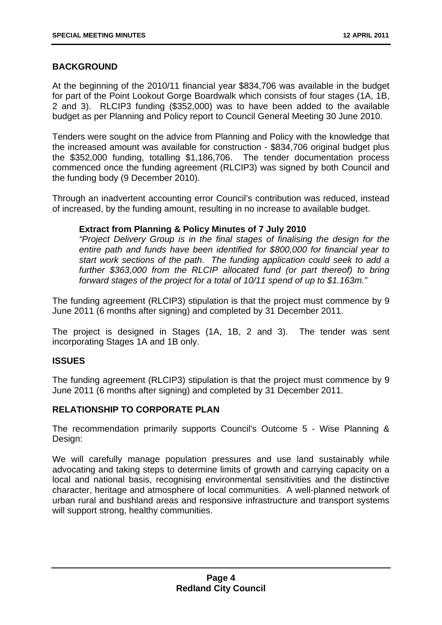#### **BACKGROUND**

At the beginning of the 2010/11 financial year \$834,706 was available in the budget for part of the Point Lookout Gorge Boardwalk which consists of four stages (1A, 1B, 2 and 3). RLCIP3 funding (\$352,000) was to have been added to the available budget as per Planning and Policy report to Council General Meeting 30 June 2010.

Tenders were sought on the advice from Planning and Policy with the knowledge that the increased amount was available for construction - \$834,706 original budget plus the \$352,000 funding, totalling \$1,186,706. The tender documentation process commenced once the funding agreement (RLCIP3) was signed by both Council and the funding body (9 December 2010).

Through an inadvertent accounting error Council's contribution was reduced, instead of increased, by the funding amount, resulting in no increase to available budget.

#### **Extract from Planning & Policy Minutes of 7 July 2010**

*"Project Delivery Group is in the final stages of finalising the design for the entire path and funds have been identified for \$800,000 for financial year to start work sections of the path. The funding application could seek to add a*  further \$363,000 from the RLCIP allocated fund (or part thereof) to bring *forward stages of the project for a total of 10/11 spend of up to \$1.163m."* 

The funding agreement (RLCIP3) stipulation is that the project must commence by 9 June 2011 (6 months after signing) and completed by 31 December 2011.

The project is designed in Stages (1A, 1B, 2 and 3). The tender was sent incorporating Stages 1A and 1B only.

#### **ISSUES**

The funding agreement (RLCIP3) stipulation is that the project must commence by 9 June 2011 (6 months after signing) and completed by 31 December 2011.

#### **RELATIONSHIP TO CORPORATE PLAN**

The recommendation primarily supports Council's Outcome 5 - Wise Planning & Design:

We will carefully manage population pressures and use land sustainably while advocating and taking steps to determine limits of growth and carrying capacity on a local and national basis, recognising environmental sensitivities and the distinctive character, heritage and atmosphere of local communities. A well-planned network of urban rural and bushland areas and responsive infrastructure and transport systems will support strong, healthy communities.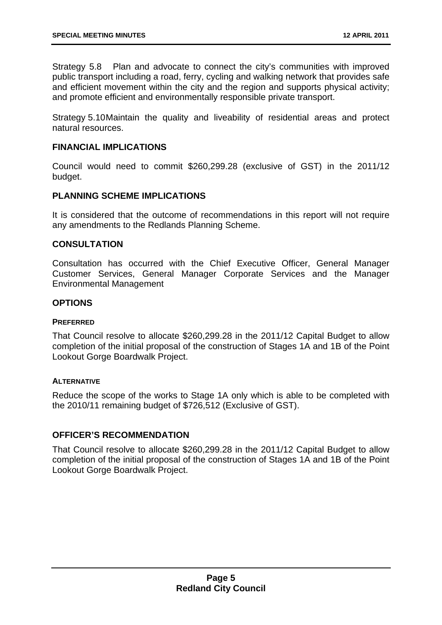Strategy 5.8 Plan and advocate to connect the city's communities with improved public transport including a road, ferry, cycling and walking network that provides safe and efficient movement within the city and the region and supports physical activity; and promote efficient and environmentally responsible private transport.

Strategy 5.10 Maintain the quality and liveability of residential areas and protect natural resources.

#### **FINANCIAL IMPLICATIONS**

Council would need to commit \$260,299.28 (exclusive of GST) in the 2011/12 budget.

#### **PLANNING SCHEME IMPLICATIONS**

It is considered that the outcome of recommendations in this report will not require any amendments to the Redlands Planning Scheme.

#### **CONSULTATION**

Consultation has occurred with the Chief Executive Officer, General Manager Customer Services, General Manager Corporate Services and the Manager Environmental Management

#### **OPTIONS**

#### **PREFERRED**

That Council resolve to allocate \$260,299.28 in the 2011/12 Capital Budget to allow completion of the initial proposal of the construction of Stages 1A and 1B of the Point Lookout Gorge Boardwalk Project.

#### **ALTERNATIVE**

Reduce the scope of the works to Stage 1A only which is able to be completed with the 2010/11 remaining budget of \$726,512 (Exclusive of GST).

#### **OFFICER'S RECOMMENDATION**

That Council resolve to allocate \$260,299.28 in the 2011/12 Capital Budget to allow completion of the initial proposal of the construction of Stages 1A and 1B of the Point Lookout Gorge Boardwalk Project.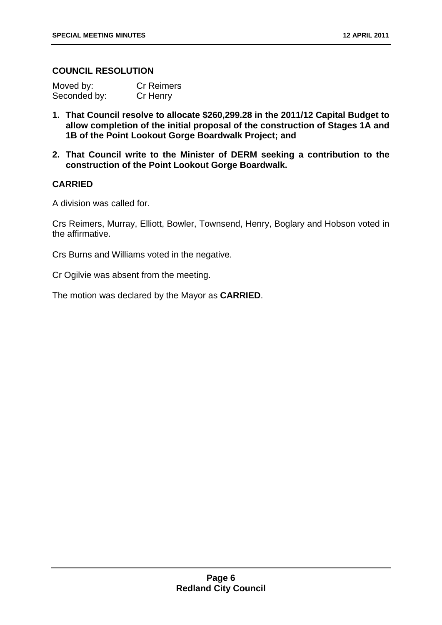#### **COUNCIL RESOLUTION**

| Moved by:    | <b>Cr Reimers</b> |
|--------------|-------------------|
| Seconded by: | Cr Henry          |

- **1. That Council resolve to allocate \$260,299.28 in the 2011/12 Capital Budget to allow completion of the initial proposal of the construction of Stages 1A and 1B of the Point Lookout Gorge Boardwalk Project; and**
- **2. That Council write to the Minister of DERM seeking a contribution to the construction of the Point Lookout Gorge Boardwalk.**

#### **CARRIED**

A division was called for.

Crs Reimers, Murray, Elliott, Bowler, Townsend, Henry, Boglary and Hobson voted in the affirmative.

Crs Burns and Williams voted in the negative.

Cr Ogilvie was absent from the meeting.

The motion was declared by the Mayor as **CARRIED**.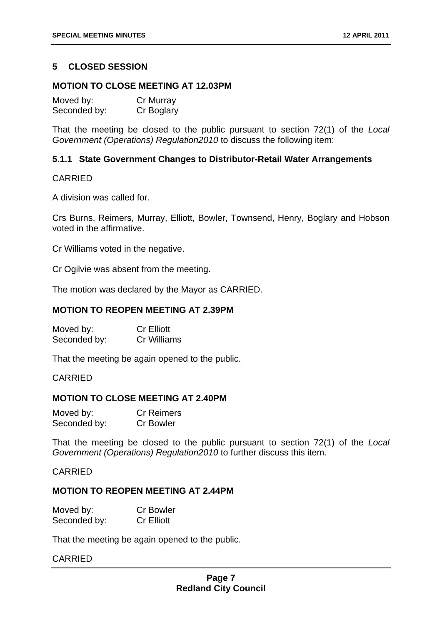#### <span id="page-8-0"></span>**5 CLOSED SESSION**

#### **MOTION TO CLOSE MEETING AT 12.03PM**

| Moved by:    | Cr Murray  |
|--------------|------------|
| Seconded by: | Cr Boglary |

That the meeting be closed to the public pursuant to section 72(1) of the *Local Government (Operations) Regulation2010* to discuss the following item:

#### **5.1.1 State Government Changes to Distributor-Retail Water Arrangements**

#### CARRIED

A division was called for.

Crs Burns, Reimers, Murray, Elliott, Bowler, Townsend, Henry, Boglary and Hobson voted in the affirmative.

Cr Williams voted in the negative.

Cr Ogilvie was absent from the meeting.

The motion was declared by the Mayor as CARRIED.

#### **MOTION TO REOPEN MEETING AT 2.39PM**

| Moved by:    | <b>Cr Elliott</b>  |
|--------------|--------------------|
| Seconded by: | <b>Cr Williams</b> |

That the meeting be again opened to the public.

#### CARRIED

#### **MOTION TO CLOSE MEETING AT 2.40PM**

| Moved by:    | <b>Cr Reimers</b> |
|--------------|-------------------|
| Seconded by: | <b>Cr Bowler</b>  |

That the meeting be closed to the public pursuant to section 72(1) of the *Local Government (Operations) Regulation2010* to further discuss this item.

#### CARRIED

#### **MOTION TO REOPEN MEETING AT 2.44PM**

| Moved by:    | <b>Cr Bowler</b>  |
|--------------|-------------------|
| Seconded by: | <b>Cr Elliott</b> |

That the meeting be again opened to the public.

#### CARRIED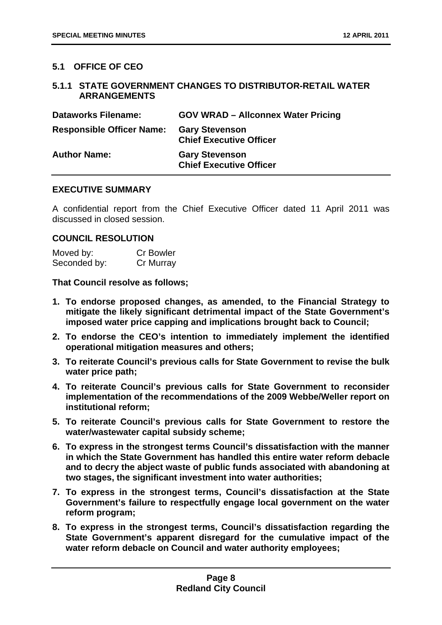#### <span id="page-9-0"></span>**5.1 OFFICE OF CEO**

#### **5.1.1 STATE GOVERNMENT CHANGES TO DISTRIBUTOR-RETAIL WATER ARRANGEMENTS**

| <b>Dataworks Filename:</b>       | <b>GOV WRAD - Allconnex Water Pricing</b>               |
|----------------------------------|---------------------------------------------------------|
| <b>Responsible Officer Name:</b> | <b>Gary Stevenson</b><br><b>Chief Executive Officer</b> |
| <b>Author Name:</b>              | <b>Gary Stevenson</b><br><b>Chief Executive Officer</b> |

#### **EXECUTIVE SUMMARY**

A confidential report from the Chief Executive Officer dated 11 April 2011 was discussed in closed session.

#### **COUNCIL RESOLUTION**

| Moved by:    | <b>Cr Bowler</b> |
|--------------|------------------|
| Seconded by: | Cr Murray        |

**That Council resolve as follows;** 

- **1. To endorse proposed changes, as amended, to the Financial Strategy to mitigate the likely significant detrimental impact of the State Government's imposed water price capping and implications brought back to Council;**
- **2. To endorse the CEO's intention to immediately implement the identified operational mitigation measures and others;**
- **3. To reiterate Council's previous calls for State Government to revise the bulk water price path;**
- **4. To reiterate Council's previous calls for State Government to reconsider implementation of the recommendations of the 2009 Webbe/Weller report on institutional reform;**
- **5. To reiterate Council's previous calls for State Government to restore the water/wastewater capital subsidy scheme;**
- **6. To express in the strongest terms Council's dissatisfaction with the manner in which the State Government has handled this entire water reform debacle and to decry the abject waste of public funds associated with abandoning at two stages, the significant investment into water authorities;**
- **7. To express in the strongest terms, Council's dissatisfaction at the State Government's failure to respectfully engage local government on the water reform program;**
- **8. To express in the strongest terms, Council's dissatisfaction regarding the State Government's apparent disregard for the cumulative impact of the water reform debacle on Council and water authority employees;**